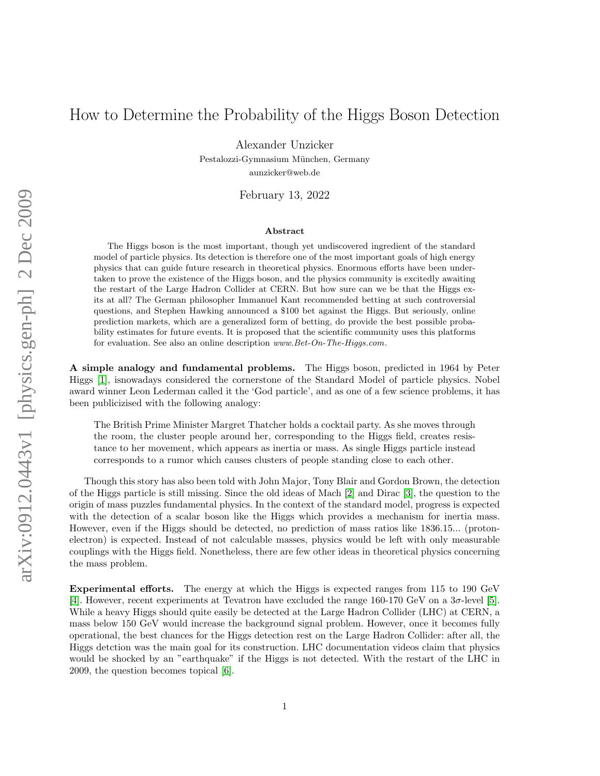# How to Determine the Probability of the Higgs Boson Detection

Alexander Unzicker

Pestalozzi-Gymnasium München, Germany aunzicker@web.de

February 13, 2022

### Abstract

The Higgs boson is the most important, though yet undiscovered ingredient of the standard model of particle physics. Its detection is therefore one of the most important goals of high energy physics that can guide future research in theoretical physics. Enormous efforts have been undertaken to prove the existence of the Higgs boson, and the physics community is excitedly awaiting the restart of the Large Hadron Collider at CERN. But how sure can we be that the Higgs exits at all? The German philosopher Immanuel Kant recommended betting at such controversial questions, and Stephen Hawking announced a \$100 bet against the Higgs. But seriously, online prediction markets, which are a generalized form of betting, do provide the best possible probability estimates for future events. It is proposed that the scientific community uses this platforms for evaluation. See also an online description www.Bet-On-The-Higgs.com.

A simple analogy and fundamental problems. The Higgs boson, predicted in 1964 by Peter Higgs [\[1\]](#page-3-0), isnowadays considered the cornerstone of the Standard Model of particle physics. Nobel award winner Leon Lederman called it the 'God particle', and as one of a few science problems, it has been publicizised with the following analogy:

The British Prime Minister Margret Thatcher holds a cocktail party. As she moves through the room, the cluster people around her, corresponding to the Higgs field, creates resistance to her movement, which appears as inertia or mass. As single Higgs particle instead corresponds to a rumor which causes clusters of people standing close to each other.

Though this story has also been told with John Major, Tony Blair and Gordon Brown, the detection of the Higgs particle is still missing. Since the old ideas of Mach [\[2\]](#page-3-1) and Dirac [\[3\]](#page-3-2), the question to the origin of mass puzzles fundamental physics. In the context of the standard model, progress is expected with the detection of a scalar boson like the Higgs which provides a mechanism for inertia mass. However, even if the Higgs should be detected, no prediction of mass ratios like 1836.15... (protonelectron) is expected. Instead of not calculable masses, physics would be left with only measurable couplings with the Higgs field. Nonetheless, there are few other ideas in theoretical physics concerning the mass problem.

Experimental efforts. The energy at which the Higgs is expected ranges from 115 to 190 GeV [\[4\]](#page-3-3). However, recent experiments at Tevatron have excluded the range 160-170 GeV on a 3σ-level [\[5\]](#page-3-4). While a heavy Higgs should quite easily be detected at the Large Hadron Collider (LHC) at CERN, a mass below 150 GeV would increase the background signal problem. However, once it becomes fully operational, the best chances for the Higgs detection rest on the Large Hadron Collider: after all, the Higgs detction was the main goal for its construction. LHC documentation videos claim that physics would be shocked by an "earthquake" if the Higgs is not detected. With the restart of the LHC in 2009, the question becomes topical [\[6\]](#page-3-5).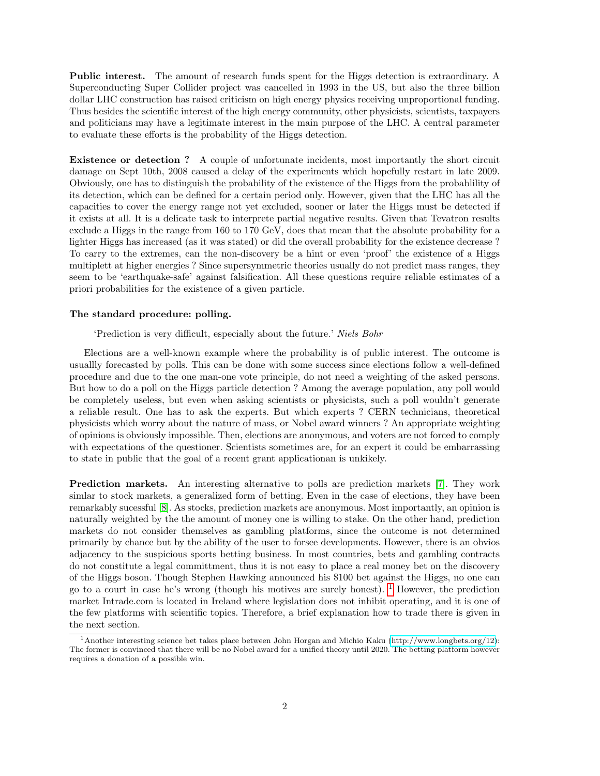Public interest. The amount of research funds spent for the Higgs detection is extraordinary. A Superconducting Super Collider project was cancelled in 1993 in the US, but also the three billion dollar LHC construction has raised criticism on high energy physics receiving unproportional funding. Thus besides the scientific interest of the high energy community, other physicists, scientists, taxpayers and politicians may have a legitimate interest in the main purpose of the LHC. A central parameter to evaluate these efforts is the probability of the Higgs detection.

Existence or detection ? A couple of unfortunate incidents, most importantly the short circuit damage on Sept 10th, 2008 caused a delay of the experiments which hopefully restart in late 2009. Obviously, one has to distinguish the probability of the existence of the Higgs from the probablility of its detection, which can be defined for a certain period only. However, given that the LHC has all the capacities to cover the energy range not yet excluded, sooner or later the Higgs must be detected if it exists at all. It is a delicate task to interprete partial negative results. Given that Tevatron results exclude a Higgs in the range from 160 to 170 GeV, does that mean that the absolute probability for a lighter Higgs has increased (as it was stated) or did the overall probability for the existence decrease ? To carry to the extremes, can the non-discovery be a hint or even 'proof' the existence of a Higgs multiplett at higher energies ? Since supersymmetric theories usually do not predict mass ranges, they seem to be 'earthquake-safe' against falsification. All these questions require reliable estimates of a priori probabilities for the existence of a given particle.

#### The standard procedure: polling.

'Prediction is very difficult, especially about the future.' Niels Bohr

Elections are a well-known example where the probability is of public interest. The outcome is usuallly forecasted by polls. This can be done with some success since elections follow a well-defined procedure and due to the one man-one vote principle, do not need a weighting of the asked persons. But how to do a poll on the Higgs particle detection ? Among the average population, any poll would be completely useless, but even when asking scientists or physicists, such a poll wouldn't generate a reliable result. One has to ask the experts. But which experts ? CERN technicians, theoretical physicists which worry about the nature of mass, or Nobel award winners ? An appropriate weighting of opinions is obviously impossible. Then, elections are anonymous, and voters are not forced to comply with expectations of the questioner. Scientists sometimes are, for an expert it could be embarrassing to state in public that the goal of a recent grant applicationan is unkikely.

Prediction markets. An interesting alternative to polls are prediction markets [\[7\]](#page-3-6). They work simlar to stock markets, a generalized form of betting. Even in the case of elections, they have been remarkably sucessful [\[8\]](#page-3-7). As stocks, prediction markets are anonymous. Most importantly, an opinion is naturally weighted by the the amount of money one is willing to stake. On the other hand, prediction markets do not consider themselves as gambling platforms, since the outcome is not determined primarily by chance but by the ability of the user to forsee developments. However, there is an obvios adjacency to the suspicious sports betting business. In most countries, bets and gambling contracts do not constitute a legal committment, thus it is not easy to place a real money bet on the discovery of the Higgs boson. Though Stephen Hawking announced his \$100 bet against the Higgs, no one can go to a court in case he's wrong (though his motives are surely honest).  $\frac{1}{1}$  $\frac{1}{1}$  $\frac{1}{1}$  However, the prediction market Intrade.com is located in Ireland where legislation does not inhibit operating, and it is one of the few platforms with scientific topics. Therefore, a brief explanation how to trade there is given in the next section.

<span id="page-1-0"></span><sup>1</sup>Another interesting science bet takes place between John Horgan and Michio Kaku [\(http://www.longbets.org/12\)](http://www.longbets.org/12): The former is convinced that there will be no Nobel award for a unified theory until 2020. The betting platform however requires a donation of a possible win.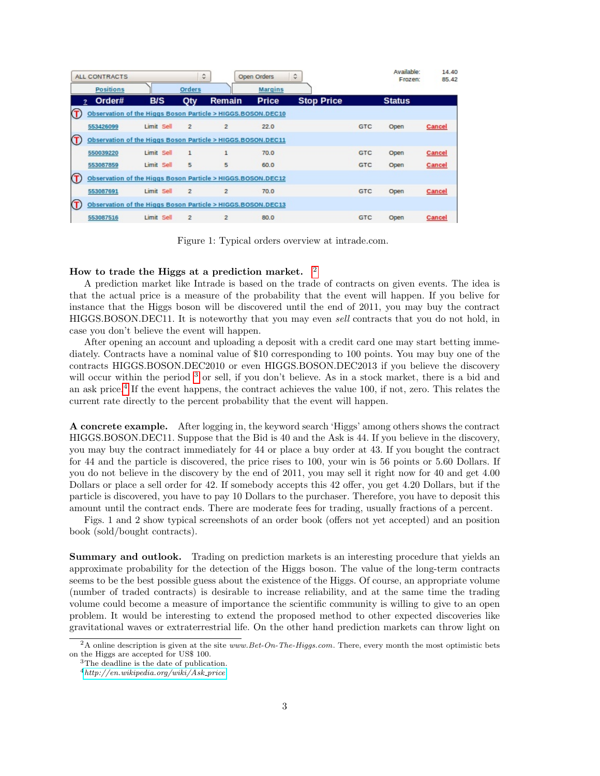| ALL CONTRACTS                                               |            | ٥              |                | Open Orders    | ¢                 |            | Available:<br>Frozen: | 14.40<br>85.42 |  |  |
|-------------------------------------------------------------|------------|----------------|----------------|----------------|-------------------|------------|-----------------------|----------------|--|--|
| <b>Positions</b>                                            |            | <b>Orders</b>  |                | <b>Margins</b> |                   |            |                       |                |  |  |
| Order#<br>2                                                 | <b>BIS</b> | Oty            | Remain         | <b>Price</b>   | <b>Stop Price</b> |            | <b>Status</b>         |                |  |  |
| Observation of the Higgs Boson Particle > HIGGS.BOSON.DEC10 |            |                |                |                |                   |            |                       |                |  |  |
| 553426099                                                   | Limit Sell | $\overline{2}$ | $\overline{2}$ | 22.0           |                   | <b>GTC</b> | Open                  | Cancel         |  |  |
| Observation of the Higgs Boson Particle > HIGGS.BOSON.DEC11 |            |                |                |                |                   |            |                       |                |  |  |
| 550039220                                                   | Limit Sell | 1              | $\mathbf{1}$   | 70.0           |                   | <b>GTC</b> | Open                  | Cancel         |  |  |
| 553087859                                                   | Limit Sell | 5              | 5              | 60.0           |                   | <b>GTC</b> | Open                  | Cancel         |  |  |
| Observation of the Higgs Boson Particle > HIGGS.BOSON.DEC12 |            |                |                |                |                   |            |                       |                |  |  |
| 553087691                                                   | Limit Sell | $\overline{2}$ | $\overline{2}$ | 70.0           |                   | <b>GTC</b> | Open                  | Cancel         |  |  |
| Observation of the Higgs Boson Particle > HIGGS.BOSON.DEC13 |            |                |                |                |                   |            |                       |                |  |  |
| 553087516                                                   | Limit Sell | $\overline{2}$ | $\overline{2}$ | 80.0           |                   | <b>GTC</b> | Open                  | Cancel         |  |  |

Figure 1: Typical orders overview at intrade.com.

#### How to trade the Higgs at a prediction market. [2](#page-2-0)

A prediction market like Intrade is based on the trade of contracts on given events. The idea is that the actual price is a measure of the probability that the event will happen. If you belive for instance that the Higgs boson will be discovered until the end of 2011, you may buy the contract HIGGS.BOSON.DEC11. It is noteworthy that you may even sell contracts that you do not hold, in case you don't believe the event will happen.

After opening an account and uploading a deposit with a credit card one may start betting immediately. Contracts have a nominal value of \$10 corresponding to 100 points. You may buy one of the contracts HIGGS.BOSON.DEC2010 or even HIGGS.BOSON.DEC2013 if you believe the discovery will occur within the period <sup>[3](#page-2-1)</sup> or sell, if you don't believe. As in a stock market, there is a bid and an ask price.<sup>[4](#page-2-2)</sup> If the event happens, the contract achieves the value 100, if not, zero. This relates the current rate directly to the percent probability that the event will happen.

A concrete example. After logging in, the keyword search 'Higgs' among others shows the contract HIGGS.BOSON.DEC11. Suppose that the Bid is 40 and the Ask is 44. If you believe in the discovery, you may buy the contract immediately for 44 or place a buy order at 43. If you bought the contract for 44 and the particle is discovered, the price rises to 100, your win is 56 points or 5.60 Dollars. If you do not believe in the discovery by the end of 2011, you may sell it right now for 40 and get 4.00 Dollars or place a sell order for 42. If somebody accepts this 42 offer, you get 4.20 Dollars, but if the particle is discovered, you have to pay 10 Dollars to the purchaser. Therefore, you have to deposit this amount until the contract ends. There are moderate fees for trading, usually fractions of a percent.

Figs. 1 and 2 show typical screenshots of an order book (offers not yet accepted) and an position book (sold/bought contracts).

Summary and outlook. Trading on prediction markets is an interesting procedure that yields an approximate probability for the detection of the Higgs boson. The value of the long-term contracts seems to be the best possible guess about the existence of the Higgs. Of course, an appropriate volume (number of traded contracts) is desirable to increase reliability, and at the same time the trading volume could become a measure of importance the scientific community is willing to give to an open problem. It would be interesting to extend the proposed method to other expected discoveries like gravitational waves or extraterrestrial life. On the other hand prediction markets can throw light on

<span id="page-2-0"></span><sup>&</sup>lt;sup>2</sup>A online description is given at the site *www.Bet-On-The-Higgs.com*. There, every month the most optimistic bets on the Higgs are accepted for US\$ 100.

<span id="page-2-1"></span><sup>3</sup>The deadline is the date of publication.

<span id="page-2-2"></span> $^{4}$ [http://en.wikipedia.org/wiki/Ask](http://en.wikipedia.org/wiki/Ask_price/)\_price